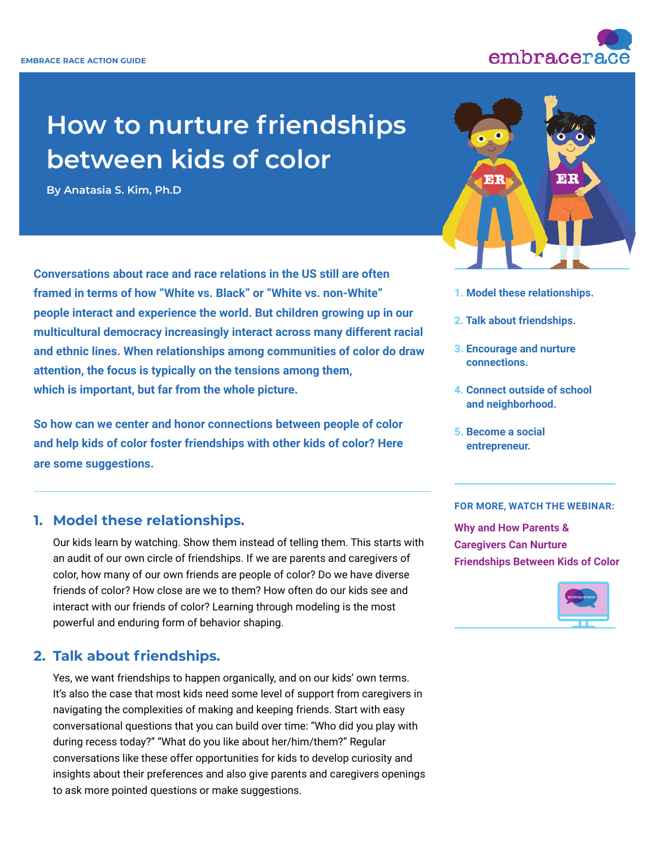

# **How to nurture friendships between kids of color**

**By [Anatasia S. Kim, Ph.D](https://www.embracerace.org/contributor-community/dr-anatasia-kim)**

**Conversations about race and race relations in the US still are often framed in terms of how "White vs. Black" or "White vs. non-White" people interact and experience the world. But children growing up in our multicultural democracy increasingly interact across many different racial and ethnic lines. When relationships among communities of color do draw attention, the focus is typically on the tensions among them, which is important, but far from the whole picture.**

**So how can we center and honor connections between people of color and help kids of color foster friendships with other kids of color? Here are some suggestions.**

## **1. Model these relationships.**

Our kids learn by watching. Show them instead of telling them. This starts with an audit of our own circle of friendships. If we are parents and caregivers of color, how many of our own friends are people of color? Do we have diverse friends of color? How close are we to them? How often do our kids see and interact with our friends of color? Learning through modeling is the most powerful and enduring form of behavior shaping.

## **2. Talk about friendships.**

Yes, we want friendships to happen organically, and on our kids' own terms. It's also the case that most kids need some level of support from caregivers in navigating the complexities of making and keeping friends. Start with easy conversational questions that you can build over time: "Who did you play with during recess today?" "What do you like about her/him/them?" Regular conversations like these offer opportunities for kids to develop curiosity and insights about their preferences and also give parents and caregivers openings to ask more pointed questions or make suggestions.



- **1. Model these relationships.**
- **2. Talk about friendships.**
- **3. Encourage and nurture connections.**
- **4. Connect outside of school and neighborhood.**
- **5. Become a social entrepreneur.**

#### **FOR MORE, WATCH THE WEBINAR:**

**[Why and How Parents &](https://www.embracerace.org/resources/why-and-how-parents-caregivers-can-nurture-friendships-between-kids-of-color)  [Caregivers Can Nurture](https://www.embracerace.org/resources/why-and-how-parents-caregivers-can-nurture-friendships-between-kids-of-color)  [Friendships Between Kids of Color](https://www.embracerace.org/resources/why-and-how-parents-caregivers-can-nurture-friendships-between-kids-of-color)**